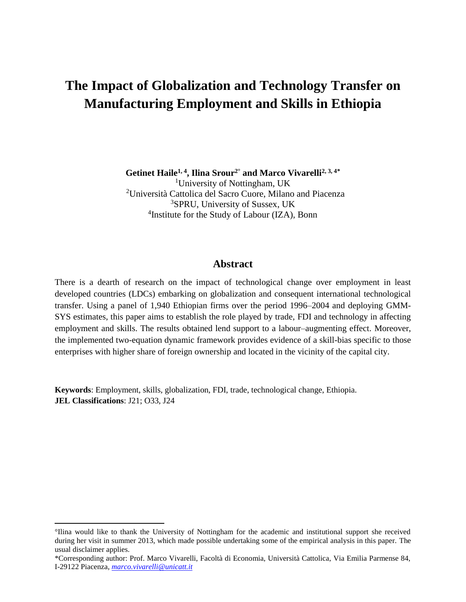# **The Impact of Globalization and Technology Transfer on Manufacturing Employment and Skills in Ethiopia**

**Getinet Haile1, 4 , Ilina Srour2° and Marco Vivarelli2, 3, 4***\**

University of Nottingham, UK Università Cattolica del Sacro Cuore, Milano and Piacenza SPRU, University of Sussex, UK <sup>4</sup>Institute for the Study of Labour (IZA), Bonn

#### **Abstract**

There is a dearth of research on the impact of technological change over employment in least developed countries (LDCs) embarking on globalization and consequent international technological transfer. Using a panel of 1,940 Ethiopian firms over the period 1996–2004 and deploying GMM-SYS estimates, this paper aims to establish the role played by trade, FDI and technology in affecting employment and skills. The results obtained lend support to a labour–augmenting effect. Moreover, the implemented two-equation dynamic framework provides evidence of a skill-bias specific to those enterprises with higher share of foreign ownership and located in the vicinity of the capital city.

**Keywords**: Employment, skills, globalization, FDI, trade, technological change, Ethiopia. **JEL Classifications**: J21; O33, J24

 $\overline{\phantom{a}}$ 

<sup>°</sup>Ilina would like to thank the University of Nottingham for the academic and institutional support she received during her visit in summer 2013, which made possible undertaking some of the empirical analysis in this paper. The usual disclaimer applies.

<sup>\*</sup>Corresponding author: Prof. Marco Vivarelli, Facoltà di Economia, Università Cattolica, Via Emilia Parmense 84, I-29122 Piacenza, *marco.vivarelli@unicatt.it*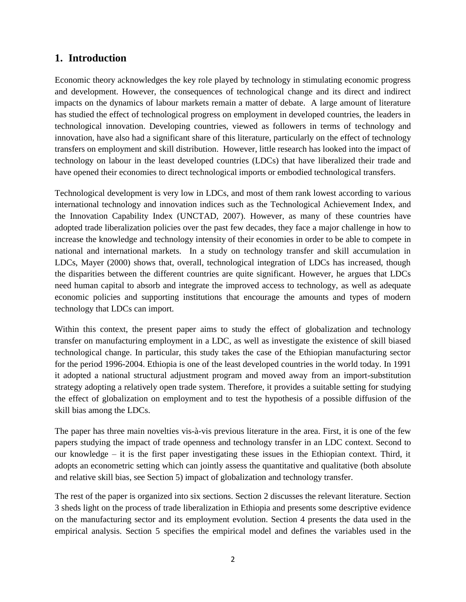#### **1. Introduction**

Economic theory acknowledges the key role played by technology in stimulating economic progress and development. However, the consequences of technological change and its direct and indirect impacts on the dynamics of labour markets remain a matter of debate. A large amount of literature has studied the effect of technological progress on employment in developed countries, the leaders in technological innovation. Developing countries, viewed as followers in terms of technology and innovation, have also had a significant share of this literature, particularly on the effect of technology transfers on employment and skill distribution. However, little research has looked into the impact of technology on labour in the least developed countries (LDCs) that have liberalized their trade and have opened their economies to direct technological imports or embodied technological transfers.

Technological development is very low in LDCs, and most of them rank lowest according to various international technology and innovation indices such as the Technological Achievement Index, and the Innovation Capability Index (UNCTAD, 2007). However, as many of these countries have adopted trade liberalization policies over the past few decades, they face a major challenge in how to increase the knowledge and technology intensity of their economies in order to be able to compete in national and international markets. In a study on technology transfer and skill accumulation in LDCs, Mayer (2000) shows that, overall, technological integration of LDCs has increased, though the disparities between the different countries are quite significant. However, he argues that LDCs need human capital to absorb and integrate the improved access to technology, as well as adequate economic policies and supporting institutions that encourage the amounts and types of modern technology that LDCs can import.

Within this context, the present paper aims to study the effect of globalization and technology transfer on manufacturing employment in a LDC, as well as investigate the existence of skill biased technological change. In particular, this study takes the case of the Ethiopian manufacturing sector for the period 1996-2004. Ethiopia is one of the least developed countries in the world today. In 1991 it adopted a national structural adjustment program and moved away from an import-substitution strategy adopting a relatively open trade system. Therefore, it provides a suitable setting for studying the effect of globalization on employment and to test the hypothesis of a possible diffusion of the skill bias among the LDCs.

The paper has three main novelties vis-à-vis previous literature in the area. First, it is one of the few papers studying the impact of trade openness and technology transfer in an LDC context. Second to our knowledge – it is the first paper investigating these issues in the Ethiopian context. Third, it adopts an econometric setting which can jointly assess the quantitative and qualitative (both absolute and relative skill bias, see Section 5) impact of globalization and technology transfer.

The rest of the paper is organized into six sections. Section 2 discusses the relevant literature. Section 3 sheds light on the process of trade liberalization in Ethiopia and presents some descriptive evidence on the manufacturing sector and its employment evolution. Section 4 presents the data used in the empirical analysis. Section 5 specifies the empirical model and defines the variables used in the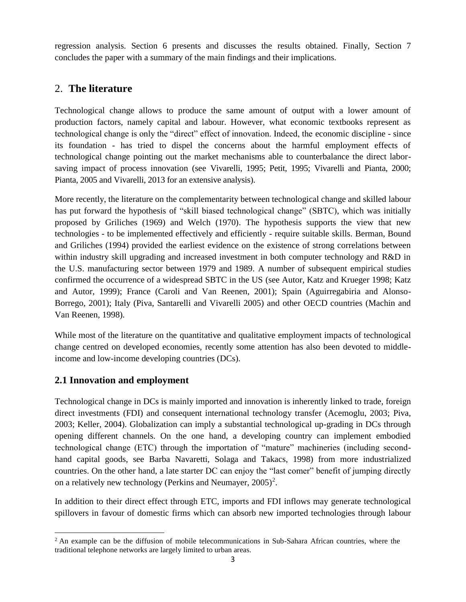regression analysis. Section 6 presents and discusses the results obtained. Finally, Section 7 concludes the paper with a summary of the main findings and their implications.

# 2. **The literature**

Technological change allows to produce the same amount of output with a lower amount of production factors, namely capital and labour. However, what economic textbooks represent as technological change is only the "direct" effect of innovation. Indeed, the economic discipline - since its foundation - has tried to dispel the concerns about the harmful employment effects of technological change pointing out the market mechanisms able to counterbalance the direct laborsaving impact of process innovation (see Vivarelli, 1995; Petit, 1995; Vivarelli and Pianta, 2000; Pianta, 2005 and Vivarelli, 2013 for an extensive analysis).

More recently, the literature on the complementarity between technological change and skilled labour has put forward the hypothesis of "skill biased technological change" (SBTC), which was initially proposed by Griliches (1969) and Welch (1970). The hypothesis supports the view that new technologies - to be implemented effectively and efficiently - require suitable skills. Berman, Bound and Griliches (1994) provided the earliest evidence on the existence of strong correlations between within industry skill upgrading and increased investment in both computer technology and R&D in the U.S. manufacturing sector between 1979 and 1989. A number of subsequent empirical studies confirmed the occurrence of a widespread SBTC in the US (see Autor, Katz and Krueger 1998; Katz and Autor, 1999); France (Caroli and Van Reenen, 2001); Spain (Aguirregabiria and Alonso-Borrego, 2001); Italy (Piva, Santarelli and Vivarelli 2005) and other OECD countries (Machin and Van Reenen, 1998).

While most of the literature on the quantitative and qualitative employment impacts of technological change centred on developed economies, recently some attention has also been devoted to middleincome and low-income developing countries (DCs).

## **2.1 Innovation and employment**

Technological change in DCs is mainly imported and innovation is inherently linked to trade, foreign direct investments (FDI) and consequent international technology transfer (Acemoglu, 2003; Piva, 2003; Keller, 2004). Globalization can imply a substantial technological up-grading in DCs through opening different channels. On the one hand, a developing country can implement embodied technological change (ETC) through the importation of "mature" machineries (including secondhand capital goods, see Barba Navaretti, Solaga and Takacs, 1998) from more industrialized countries. On the other hand, a late starter DC can enjoy the "last comer" benefit of jumping directly on a relatively new technology (Perkins and Neumayer,  $2005$ )<sup>2</sup>.

In addition to their direct effect through ETC, imports and FDI inflows may generate technological spillovers in favour of domestic firms which can absorb new imported technologies through labour

 $\overline{\phantom{a}}$  $2$  An example can be the diffusion of mobile telecommunications in Sub-Sahara African countries, where the traditional telephone networks are largely limited to urban areas.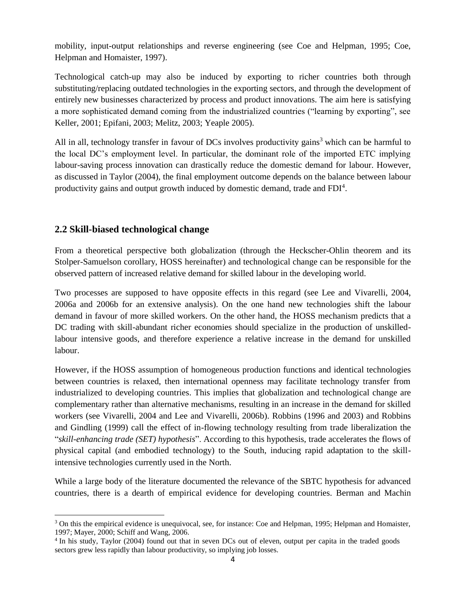mobility, input-output relationships and reverse engineering (see Coe and Helpman, 1995; Coe, Helpman and Homaister, 1997).

Technological catch-up may also be induced by exporting to richer countries both through substituting/replacing outdated technologies in the exporting sectors, and through the development of entirely new businesses characterized by process and product innovations. The aim here is satisfying a more sophisticated demand coming from the industrialized countries ("learning by exporting", see Keller, 2001; Epifani, 2003; Melitz, 2003; Yeaple 2005).

All in all, technology transfer in favour of DCs involves productivity gains<sup>3</sup> which can be harmful to the local DC's employment level. In particular, the dominant role of the imported ETC implying labour-saving process innovation can drastically reduce the domestic demand for labour. However, as discussed in Taylor (2004), the final employment outcome depends on the balance between labour productivity gains and output growth induced by domestic demand, trade and FDI<sup>4</sup>.

#### **2.2 Skill-biased technological change**

 $\overline{a}$ 

From a theoretical perspective both globalization (through the Heckscher-Ohlin theorem and its Stolper-Samuelson corollary, HOSS hereinafter) and technological change can be responsible for the observed pattern of increased relative demand for skilled labour in the developing world.

Two processes are supposed to have opposite effects in this regard (see Lee and Vivarelli, 2004, 2006a and 2006b for an extensive analysis). On the one hand new technologies shift the labour demand in favour of more skilled workers. On the other hand, the HOSS mechanism predicts that a DC trading with skill-abundant richer economies should specialize in the production of unskilledlabour intensive goods, and therefore experience a relative increase in the demand for unskilled labour.

However, if the HOSS assumption of homogeneous production functions and identical technologies between countries is relaxed, then international openness may facilitate technology transfer from industrialized to developing countries. This implies that globalization and technological change are complementary rather than alternative mechanisms, resulting in an increase in the demand for skilled workers (see Vivarelli, 2004 and Lee and Vivarelli, 2006b). Robbins (1996 and 2003) and Robbins and Gindling (1999) call the effect of in-flowing technology resulting from trade liberalization the "*skill-enhancing trade (SET) hypothesis*". According to this hypothesis, trade accelerates the flows of physical capital (and embodied technology) to the South, inducing rapid adaptation to the skillintensive technologies currently used in the North.

While a large body of the literature documented the relevance of the SBTC hypothesis for advanced countries, there is a dearth of empirical evidence for developing countries. Berman and Machin

<sup>&</sup>lt;sup>3</sup> On this the empirical evidence is unequivocal, see, for instance: Coe and Helpman, 1995; Helpman and Homaister, 1997; Mayer, 2000; Schiff and Wang, 2006.

<sup>4</sup> In his study, Taylor (2004) found out that in seven DCs out of eleven, output per capita in the traded goods sectors grew less rapidly than labour productivity, so implying job losses.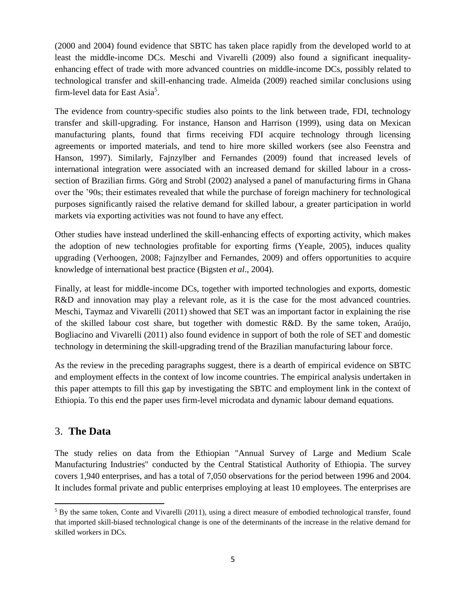(2000 and 2004) found evidence that SBTC has taken place rapidly from the developed world to at least the middle-income DCs. Meschi and Vivarelli (2009) also found a significant inequalityenhancing effect of trade with more advanced countries on middle-income DCs, possibly related to technological transfer and skill-enhancing trade. Almeida (2009) reached similar conclusions using firm-level data for East Asia<sup>5</sup>.

The evidence from country-specific studies also points to the link between trade, FDI, technology transfer and skill-upgrading. For instance, Hanson and Harrison (1999), using data on Mexican manufacturing plants, found that firms receiving FDI acquire technology through licensing agreements or imported materials, and tend to hire more skilled workers (see also Feenstra and Hanson, 1997). Similarly, Fajnzylber and Fernandes (2009) found that increased levels of international integration were associated with an increased demand for skilled labour in a crosssection of Brazilian firms. Görg and Strobl (2002) analysed a panel of manufacturing firms in Ghana over the '90s; their estimates revealed that while the purchase of foreign machinery for technological purposes significantly raised the relative demand for skilled labour, a greater participation in world markets via exporting activities was not found to have any effect.

Other studies have instead underlined the skill-enhancing effects of exporting activity, which makes the adoption of new technologies profitable for exporting firms (Yeaple, 2005), induces quality upgrading (Verhoogen, 2008; Fajnzylber and Fernandes, 2009) and offers opportunities to acquire knowledge of international best practice (Bigsten *et al*., 2004).

Finally, at least for middle-income DCs, together with imported technologies and exports, domestic R&D and innovation may play a relevant role, as it is the case for the most advanced countries. Meschi, Taymaz and Vivarelli (2011) showed that SET was an important factor in explaining the rise of the skilled labour cost share, but together with domestic R&D. By the same token, Araújo, Bogliacino and Vivarelli (2011) also found evidence in support of both the role of SET and domestic technology in determining the skill-upgrading trend of the Brazilian manufacturing labour force.

As the review in the preceding paragraphs suggest, there is a dearth of empirical evidence on SBTC and employment effects in the context of low income countries. The empirical analysis undertaken in this paper attempts to fill this gap by investigating the SBTC and employment link in the context of Ethiopia. To this end the paper uses firm-level microdata and dynamic labour demand equations.

## 3. **The Data**

 $\overline{\phantom{a}}$ 

The study relies on data from the Ethiopian "Annual Survey of Large and Medium Scale Manufacturing Industries" conducted by the Central Statistical Authority of Ethiopia. The survey covers 1,940 enterprises, and has a total of 7,050 observations for the period between 1996 and 2004. It includes formal private and public enterprises employing at least 10 employees. The enterprises are

<sup>&</sup>lt;sup>5</sup> By the same token, Conte and Vivarelli (2011), using a direct measure of embodied technological transfer, found that imported skill-biased technological change is one of the determinants of the increase in the relative demand for skilled workers in DCs.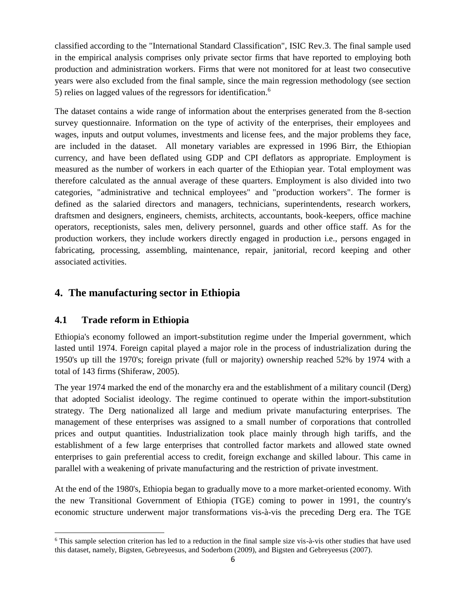classified according to the "International Standard Classification", ISIC Rev.3. The final sample used in the empirical analysis comprises only private sector firms that have reported to employing both production and administration workers. Firms that were not monitored for at least two consecutive years were also excluded from the final sample, since the main regression methodology (see section 5) relies on lagged values of the regressors for identification.<sup>6</sup>

The dataset contains a wide range of information about the enterprises generated from the 8-section survey questionnaire. Information on the type of activity of the enterprises, their employees and wages, inputs and output volumes, investments and license fees, and the major problems they face, are included in the dataset. All monetary variables are expressed in 1996 Birr, the Ethiopian currency, and have been deflated using GDP and CPI deflators as appropriate. Employment is measured as the number of workers in each quarter of the Ethiopian year. Total employment was therefore calculated as the annual average of these quarters. Employment is also divided into two categories, "administrative and technical employees" and "production workers". The former is defined as the salaried directors and managers, technicians, superintendents, research workers, draftsmen and designers, engineers, chemists, architects, accountants, book-keepers, office machine operators, receptionists, sales men, delivery personnel, guards and other office staff. As for the production workers, they include workers directly engaged in production i.e., persons engaged in fabricating, processing, assembling, maintenance, repair, janitorial, record keeping and other associated activities.

# **4. The manufacturing sector in Ethiopia**

#### **4.1 Trade reform in Ethiopia**

 $\overline{\phantom{a}}$ 

Ethiopia's economy followed an import-substitution regime under the Imperial government, which lasted until 1974. Foreign capital played a major role in the process of industrialization during the 1950's up till the 1970's; foreign private (full or majority) ownership reached 52% by 1974 with a total of 143 firms (Shiferaw, 2005).

The year 1974 marked the end of the monarchy era and the establishment of a military council (Derg) that adopted Socialist ideology. The regime continued to operate within the import-substitution strategy. The Derg nationalized all large and medium private manufacturing enterprises. The management of these enterprises was assigned to a small number of corporations that controlled prices and output quantities. Industrialization took place mainly through high tariffs, and the establishment of a few large enterprises that controlled factor markets and allowed state owned enterprises to gain preferential access to credit, foreign exchange and skilled labour. This came in parallel with a weakening of private manufacturing and the restriction of private investment.

At the end of the 1980's, Ethiopia began to gradually move to a more market-oriented economy. With the new Transitional Government of Ethiopia (TGE) coming to power in 1991, the country's economic structure underwent major transformations vis-à-vis the preceding Derg era. The TGE

<sup>6</sup> This sample selection criterion has led to a reduction in the final sample size vis-à-vis other studies that have used this dataset, namely, Bigsten, Gebreyeesus, and Soderbom (2009), and Bigsten and Gebreyeesus (2007).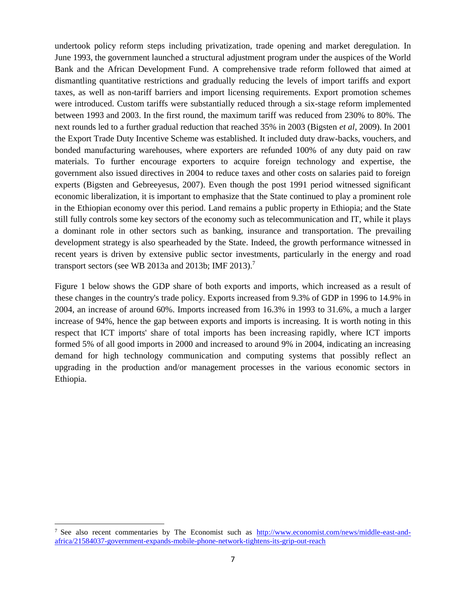undertook policy reform steps including privatization, trade opening and market deregulation. In June 1993, the government launched a structural adjustment program under the auspices of the World Bank and the African Development Fund. A comprehensive trade reform followed that aimed at dismantling quantitative restrictions and gradually reducing the levels of import tariffs and export taxes, as well as non-tariff barriers and import licensing requirements. Export promotion schemes were introduced. Custom tariffs were substantially reduced through a six-stage reform implemented between 1993 and 2003. In the first round, the maximum tariff was reduced from 230% to 80%. The next rounds led to a further gradual reduction that reached 35% in 2003 (Bigsten *et al,* 2009). In 2001 the Export Trade Duty Incentive Scheme was established. It included duty draw-backs, vouchers, and bonded manufacturing warehouses, where exporters are refunded 100% of any duty paid on raw materials. To further encourage exporters to acquire foreign technology and expertise, the government also issued directives in 2004 to reduce taxes and other costs on salaries paid to foreign experts (Bigsten and Gebreeyesus, 2007). Even though the post 1991 period witnessed significant economic liberalization, it is important to emphasize that the State continued to play a prominent role in the Ethiopian economy over this period. Land remains a public property in Ethiopia; and the State still fully controls some key sectors of the economy such as telecommunication and IT, while it plays a dominant role in other sectors such as banking, insurance and transportation. The prevailing development strategy is also spearheaded by the State. Indeed, the growth performance witnessed in recent years is driven by extensive public sector investments, particularly in the energy and road transport sectors (see WB 2013a and 2013b; IMF 2013).<sup>7</sup>

Figure 1 below shows the GDP share of both exports and imports, which increased as a result of these changes in the country's trade policy. Exports increased from 9.3% of GDP in 1996 to 14.9% in 2004, an increase of around 60%. Imports increased from 16.3% in 1993 to 31.6%, a much a larger increase of 94%, hence the gap between exports and imports is increasing. It is worth noting in this respect that ICT imports' share of total imports has been increasing rapidly, where ICT imports formed 5% of all good imports in 2000 and increased to around 9% in 2004, indicating an increasing demand for high technology communication and computing systems that possibly reflect an upgrading in the production and/or management processes in the various economic sectors in Ethiopia.

 $\overline{\phantom{a}}$ 

<sup>&</sup>lt;sup>7</sup> See also recent commentaries by The Economist such as [http://www.economist.com/news/middle-east-and](http://www.economist.com/news/middle-east-and-africa/21584037-government-expands-mobile-phone-network-tightens-its-grip-out-reach)[africa/21584037-government-expands-mobile-phone-network-tightens-its-grip-out-reach](http://www.economist.com/news/middle-east-and-africa/21584037-government-expands-mobile-phone-network-tightens-its-grip-out-reach)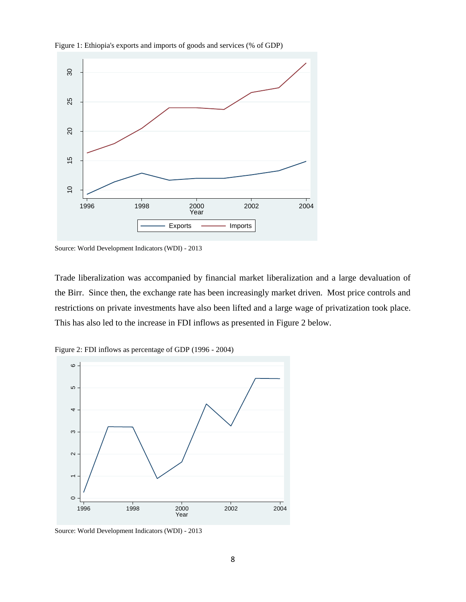

Figure 1: Ethiopia's exports and imports of goods and services (% of GDP)

Trade liberalization was accompanied by financial market liberalization and a large devaluation of the Birr. Since then, the exchange rate has been increasingly market driven. Most price controls and restrictions on private investments have also been lifted and a large wage of privatization took place. This has also led to the increase in FDI inflows as presented in Figure 2 below.



Figure 2: FDI inflows as percentage of GDP (1996 - 2004)

Source: World Development Indicators (WDI) - 2013

Source: World Development Indicators (WDI) - 2013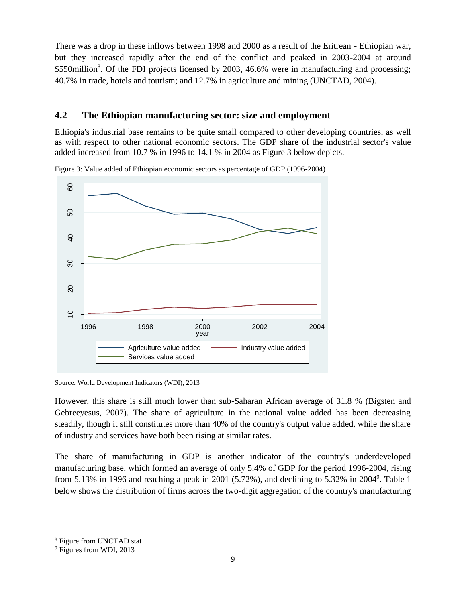There was a drop in these inflows between 1998 and 2000 as a result of the Eritrean - Ethiopian war, but they increased rapidly after the end of the conflict and peaked in 2003-2004 at around \$550million<sup>8</sup>. Of the FDI projects licensed by 2003, 46.6% were in manufacturing and processing; 40.7% in trade, hotels and tourism; and 12.7% in agriculture and mining (UNCTAD, 2004).

#### **4.2 The Ethiopian manufacturing sector: size and employment**

Ethiopia's industrial base remains to be quite small compared to other developing countries, as well as with respect to other national economic sectors. The GDP share of the industrial sector's value added increased from 10.7 % in 1996 to 14.1 % in 2004 as Figure 3 below depicts.



Figure 3: Value added of Ethiopian economic sectors as percentage of GDP (1996-2004)

Source: World Development Indicators (WDI), 2013

However, this share is still much lower than sub-Saharan African average of 31.8 % (Bigsten and Gebreeyesus, 2007). The share of agriculture in the national value added has been decreasing steadily, though it still constitutes more than 40% of the country's output value added, while the share of industry and services have both been rising at similar rates.

The share of manufacturing in GDP is another indicator of the country's underdeveloped manufacturing base, which formed an average of only 5.4% of GDP for the period 1996-2004, rising from 5.13% in 1996 and reaching a peak in 2001 (5.72%), and declining to 5.32% in 2004<sup>9</sup>. Table 1 below shows the distribution of firms across the two-digit aggregation of the country's manufacturing

 $\overline{\phantom{a}}$ <sup>8</sup> Figure from UNCTAD stat

<sup>&</sup>lt;sup>9</sup> Figures from WDI, 2013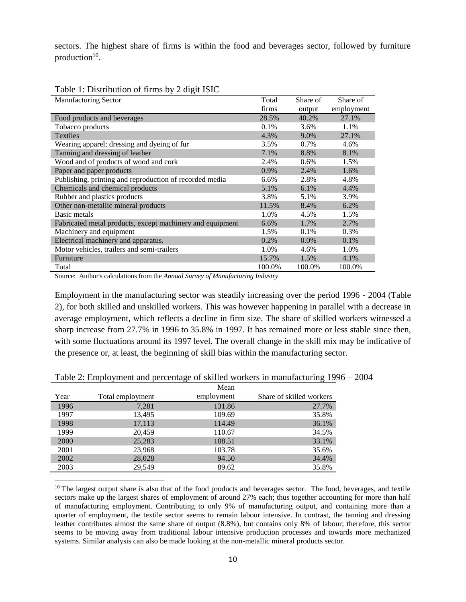sectors. The highest share of firms is within the food and beverages sector, followed by furniture production $10$ .

| <b>Manufacturing Sector</b>                               | Total  | Share of | Share of   |
|-----------------------------------------------------------|--------|----------|------------|
|                                                           | firms  | output   | employment |
| Food products and beverages                               | 28.5%  | 40.2%    | 27.1%      |
| Tobacco products                                          | 0.1%   | 3.6%     | 1.1%       |
| <b>Textiles</b>                                           | 4.3%   | 9.0%     | 27.1%      |
| Wearing apparel; dressing and dyeing of fur               | 3.5%   | 0.7%     | 4.6%       |
| Tanning and dressing of leather                           | 7.1%   | 8.8%     | 8.1%       |
| Wood and of products of wood and cork                     | 2.4%   | 0.6%     | 1.5%       |
| Paper and paper products                                  | 0.9%   | 2.4%     | 1.6%       |
| Publishing, printing and reproduction of recorded media   | 6.6%   | 2.8%     | 4.8%       |
| Chemicals and chemical products                           | 5.1%   | 6.1%     | 4.4%       |
| Rubber and plastics products                              | 3.8%   | 5.1%     | 3.9%       |
| Other non-metallic mineral products                       | 11.5%  | 8.4%     | 6.2%       |
| Basic metals                                              | 1.0%   | 4.5%     | 1.5%       |
| Fabricated metal products, except machinery and equipment | 6.6%   | 1.7%     | 2.7%       |
| Machinery and equipment                                   | 1.5%   | 0.1%     | 0.3%       |
| Electrical machinery and apparatus.                       | 0.2%   | $0.0\%$  | 0.1%       |
| Motor vehicles, trailers and semi-trailers                | 1.0%   | 4.6%     | 1.0%       |
| Furniture                                                 | 15.7%  | 1.5%     | 4.1%       |
| Total                                                     | 100.0% | 100.0%   | 100.0%     |

Table 1: Distribution of firms by 2 digit ISIC

Source: Author's calculations from the *Annual Survey of Manufacturing Industry*

Employment in the manufacturing sector was steadily increasing over the period 1996 - 2004 (Table 2), for both skilled and unskilled workers. This was however happening in parallel with a decrease in average employment, which reflects a decline in firm size. The share of skilled workers witnessed a sharp increase from 27.7% in 1996 to 35.8% in 1997. It has remained more or less stable since then, with some fluctuations around its 1997 level. The overall change in the skill mix may be indicative of the presence or, at least, the beginning of skill bias within the manufacturing sector.

|      |                  | Mean       |                          |
|------|------------------|------------|--------------------------|
| Year | Total employment | employment | Share of skilled workers |
| 1996 | 7,281            | 131.86     | 27.7%                    |
| 1997 | 13,495           | 109.69     | 35.8%                    |
| 1998 | 17,113           | 114.49     | 36.1%                    |
| 1999 | 20,459           | 110.67     | 34.5%                    |
| 2000 | 25,283           | 108.51     | 33.1%                    |
| 2001 | 23,968           | 103.78     | 35.6%                    |
| 2002 | 28,028           | 94.50      | 34.4%                    |
| 2003 | 29.549           | 89.62      | 35.8%                    |

 $\overline{\phantom{a}}$ 

Table 2: Employment and percentage of skilled workers in manufacturing 1996 – 2004

<sup>&</sup>lt;sup>10</sup> The largest output share is also that of the food products and beverages sector. The food, beverages, and textile sectors make up the largest shares of employment of around 27% each; thus together accounting for more than half of manufacturing employment. Contributing to only 9% of manufacturing output, and containing more than a quarter of employment, the textile sector seems to remain labour intensive. In contrast, the tanning and dressing leather contributes almost the same share of output (8.8%), but contains only 8% of labour; therefore, this sector seems to be moving away from traditional labour intensive production processes and towards more mechanized systems. Similar analysis can also be made looking at the non-metallic mineral products sector.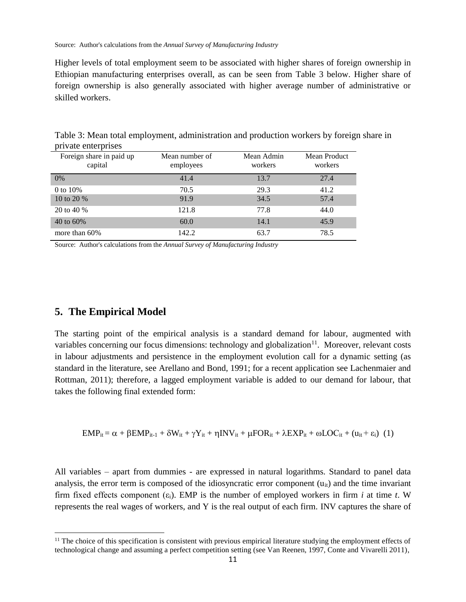Higher levels of total employment seem to be associated with higher shares of foreign ownership in Ethiopian manufacturing enterprises overall, as can be seen from Table 3 below. Higher share of foreign ownership is also generally associated with higher average number of administrative or skilled workers.

| $P_{22}$ , $P_{22}$ , $P_{23}$ , $P_{24}$ , $P_{25}$ |                             |                       |                         |
|------------------------------------------------------|-----------------------------|-----------------------|-------------------------|
| Foreign share in paid up<br>capital                  | Mean number of<br>employees | Mean Admin<br>workers | Mean Product<br>workers |
| $0\%$                                                | 41.4                        | 13.7                  | 27.4                    |
| 0 to $10\%$                                          | 70.5                        | 29.3                  | 41.2                    |
| 10 to 20 %                                           | 91.9                        | 34.5                  | 57.4                    |
| 20 to 40 %                                           | 121.8                       | 77.8                  | 44.0                    |
| 40 to 60%                                            | 60.0                        | 14.1                  | 45.9                    |
| more than $60\%$                                     | 142.2                       | 63.7                  | 78.5                    |

Table 3: Mean total employment, administration and production workers by foreign share in private enterprises

Source: Author's calculations from the *Annual Survey of Manufacturing Industry*

#### **5. The Empirical Model**

 $\overline{\phantom{a}}$ 

The starting point of the empirical analysis is a standard demand for labour, augmented with variables concerning our focus dimensions: technology and globalization $11$ . Moreover, relevant costs in labour adjustments and persistence in the employment evolution call for a dynamic setting (as standard in the literature, see Arellano and Bond, 1991; for a recent application see Lachenmaier and Rottman, 2011); therefore, a lagged employment variable is added to our demand for labour, that takes the following final extended form:

$$
EMP_{it} = \alpha + \beta EMP_{it-1} + \delta W_{it} + \gamma Y_{it} + \eta INV_{it} + \mu FOR_{it} + \lambda EXP_{it} + \omega LOC_{it} + (u_{it} + \epsilon_i) (1)
$$

All variables – apart from dummies - are expressed in natural logarithms. Standard to panel data analysis, the error term is composed of the idiosyncratic error component  $(u_{it})$  and the time invariant firm fixed effects component  $(\epsilon_i)$ . EMP is the number of employed workers in firm *i* at time *t*. W represents the real wages of workers, and Y is the real output of each firm. INV captures the share of

<sup>&</sup>lt;sup>11</sup> The choice of this specification is consistent with previous empirical literature studying the employment effects of technological change and assuming a perfect competition setting (see Van Reenen, 1997, Conte and Vivarelli 2011),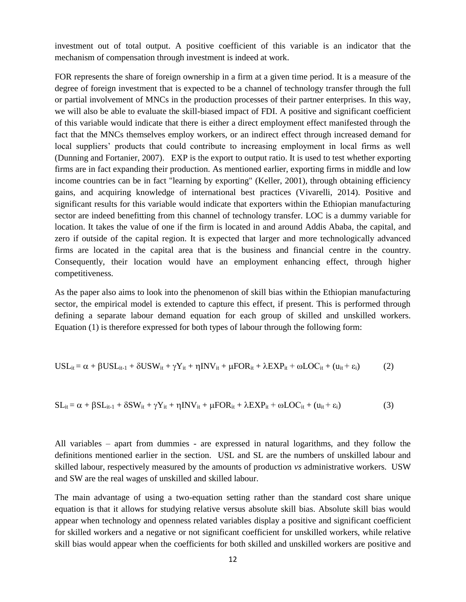investment out of total output. A positive coefficient of this variable is an indicator that the mechanism of compensation through investment is indeed at work.

FOR represents the share of foreign ownership in a firm at a given time period. It is a measure of the degree of foreign investment that is expected to be a channel of technology transfer through the full or partial involvement of MNCs in the production processes of their partner enterprises. In this way, we will also be able to evaluate the skill-biased impact of FDI. A positive and significant coefficient of this variable would indicate that there is either a direct employment effect manifested through the fact that the MNCs themselves employ workers, or an indirect effect through increased demand for local suppliers' products that could contribute to increasing employment in local firms as well (Dunning and Fortanier, 2007). EXP is the export to output ratio. It is used to test whether exporting firms are in fact expanding their production. As mentioned earlier, exporting firms in middle and low income countries can be in fact "learning by exporting" (Keller, 2001), through obtaining efficiency gains, and acquiring knowledge of international best practices (Vivarelli, 2014). Positive and significant results for this variable would indicate that exporters within the Ethiopian manufacturing sector are indeed benefitting from this channel of technology transfer. LOC is a dummy variable for location. It takes the value of one if the firm is located in and around Addis Ababa, the capital, and zero if outside of the capital region. It is expected that larger and more technologically advanced firms are located in the capital area that is the business and financial centre in the country. Consequently, their location would have an employment enhancing effect, through higher competitiveness.

As the paper also aims to look into the phenomenon of skill bias within the Ethiopian manufacturing sector, the empirical model is extended to capture this effect, if present. This is performed through defining a separate labour demand equation for each group of skilled and unskilled workers. Equation (1) is therefore expressed for both types of labour through the following form:

$$
USL_{it} = \alpha + \beta USL_{it-1} + \delta USW_{it} + \gamma Y_{it} + \eta INV_{it} + \mu FOR_{it} + \lambda EXP_{it} + \omega LOC_{it} + (u_{it} + \epsilon_i)
$$
(2)

$$
SL_{it} = \alpha + \beta SL_{it-1} + \delta SW_{it} + \gamma Y_{it} + \eta INV_{it} + \mu FOR_{it} + \lambda EXP_{it} + \omega LOC_{it} + (u_{it} + \epsilon_i)
$$
(3)

All variables – apart from dummies - are expressed in natural logarithms, and they follow the definitions mentioned earlier in the section. USL and SL are the numbers of unskilled labour and skilled labour, respectively measured by the amounts of production *vs* administrative workers. USW and SW are the real wages of unskilled and skilled labour.

The main advantage of using a two-equation setting rather than the standard cost share unique equation is that it allows for studying relative versus absolute skill bias. Absolute skill bias would appear when technology and openness related variables display a positive and significant coefficient for skilled workers and a negative or not significant coefficient for unskilled workers, while relative skill bias would appear when the coefficients for both skilled and unskilled workers are positive and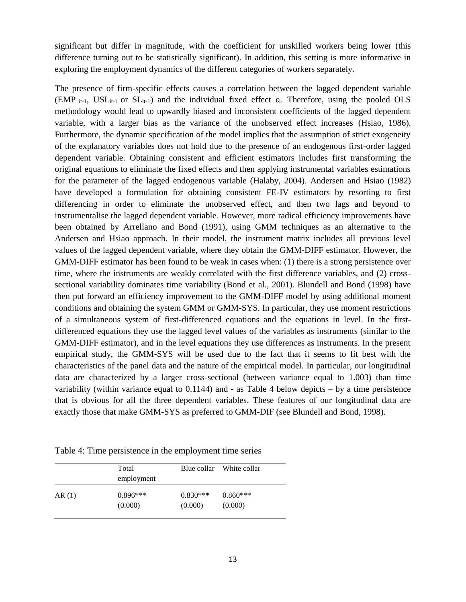significant but differ in magnitude, with the coefficient for unskilled workers being lower (this difference turning out to be statistically significant). In addition, this setting is more informative in exploring the employment dynamics of the different categories of workers separately.

The presence of firm-specific effects causes a correlation between the lagged dependent variable (EMP i<sub>t-1</sub>, USL<sub>it-1</sub> or SL<sub>it-1</sub>) and the individual fixed effect  $\varepsilon$ <sub>i</sub>. Therefore, using the pooled OLS methodology would lead to upwardly biased and inconsistent coefficients of the lagged dependent variable, with a larger bias as the variance of the unobserved effect increases (Hsiao, 1986). Furthermore, the dynamic specification of the model implies that the assumption of strict exogeneity of the explanatory variables does not hold due to the presence of an endogenous first-order lagged dependent variable. Obtaining consistent and efficient estimators includes first transforming the original equations to eliminate the fixed effects and then applying instrumental variables estimations for the parameter of the lagged endogenous variable (Halaby, 2004). Andersen and Hsiao (1982) have developed a formulation for obtaining consistent FE-IV estimators by resorting to first differencing in order to eliminate the unobserved effect, and then two lags and beyond to instrumentalise the lagged dependent variable. However, more radical efficiency improvements have been obtained by Arrellano and Bond (1991), using GMM techniques as an alternative to the Andersen and Hsiao approach. In their model, the instrument matrix includes all previous level values of the lagged dependent variable, where they obtain the GMM-DIFF estimator. However, the GMM-DIFF estimator has been found to be weak in cases when: (1) there is a strong persistence over time, where the instruments are weakly correlated with the first difference variables, and (2) crosssectional variability dominates time variability (Bond et al., 2001). Blundell and Bond (1998) have then put forward an efficiency improvement to the GMM-DIFF model by using additional moment conditions and obtaining the system GMM or GMM-SYS. In particular, they use moment restrictions of a simultaneous system of first-differenced equations and the equations in level. In the firstdifferenced equations they use the lagged level values of the variables as instruments (similar to the GMM-DIFF estimator), and in the level equations they use differences as instruments. In the present empirical study, the GMM-SYS will be used due to the fact that it seems to fit best with the characteristics of the panel data and the nature of the empirical model. In particular, our longitudinal data are characterized by a larger cross-sectional (between variance equal to 1.003) than time variability (within variance equal to 0.1144) and - as Table 4 below depicts – by a time persistence that is obvious for all the three dependent variables. These features of our longitudinal data are exactly those that make GMM-SYS as preferred to GMM-DIF (see Blundell and Bond, 1998).

|       | Total<br>employment |            | Blue collar White collar |
|-------|---------------------|------------|--------------------------|
| AR(1) | $0.896***$          | $0.830***$ | $0.860***$               |
|       | (0.000)             | (0.000)    | (0.000)                  |

Table 4: Time persistence in the employment time series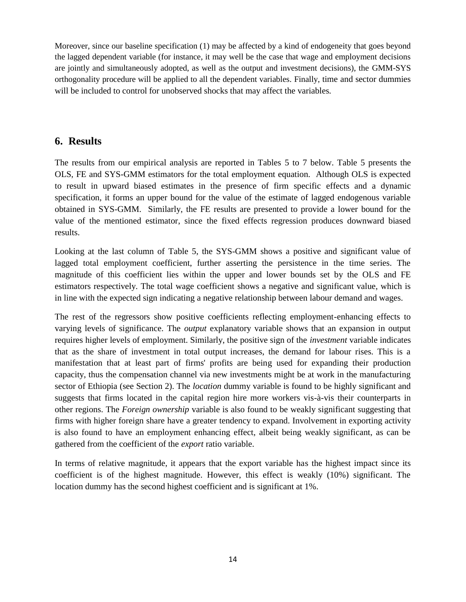Moreover, since our baseline specification (1) may be affected by a kind of endogeneity that goes beyond the lagged dependent variable (for instance, it may well be the case that wage and employment decisions are jointly and simultaneously adopted, as well as the output and investment decisions), the GMM-SYS orthogonality procedure will be applied to all the dependent variables. Finally, time and sector dummies will be included to control for unobserved shocks that may affect the variables.

## **6. Results**

The results from our empirical analysis are reported in Tables 5 to 7 below. Table 5 presents the OLS, FE and SYS-GMM estimators for the total employment equation. Although OLS is expected to result in upward biased estimates in the presence of firm specific effects and a dynamic specification, it forms an upper bound for the value of the estimate of lagged endogenous variable obtained in SYS-GMM. Similarly, the FE results are presented to provide a lower bound for the value of the mentioned estimator, since the fixed effects regression produces downward biased results.

Looking at the last column of Table 5, the SYS-GMM shows a positive and significant value of lagged total employment coefficient, further asserting the persistence in the time series. The magnitude of this coefficient lies within the upper and lower bounds set by the OLS and FE estimators respectively. The total wage coefficient shows a negative and significant value, which is in line with the expected sign indicating a negative relationship between labour demand and wages.

The rest of the regressors show positive coefficients reflecting employment-enhancing effects to varying levels of significance. The *output* explanatory variable shows that an expansion in output requires higher levels of employment. Similarly, the positive sign of the *investment* variable indicates that as the share of investment in total output increases, the demand for labour rises. This is a manifestation that at least part of firms' profits are being used for expanding their production capacity, thus the compensation channel via new investments might be at work in the manufacturing sector of Ethiopia (see Section 2). The *location* dummy variable is found to be highly significant and suggests that firms located in the capital region hire more workers vis-à-vis their counterparts in other regions. The *Foreign ownership* variable is also found to be weakly significant suggesting that firms with higher foreign share have a greater tendency to expand. Involvement in exporting activity is also found to have an employment enhancing effect, albeit being weakly significant, as can be gathered from the coefficient of the *export* ratio variable.

In terms of relative magnitude, it appears that the export variable has the highest impact since its coefficient is of the highest magnitude. However, this effect is weakly (10%) significant. The location dummy has the second highest coefficient and is significant at 1%.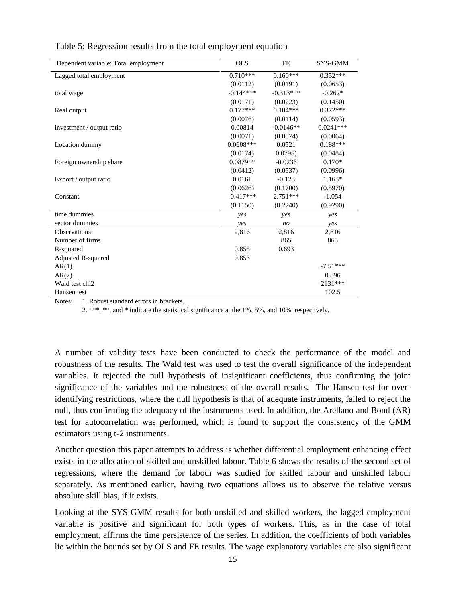| Dependent variable: Total employment | <b>OLS</b>  | FE          | SYS-GMM     |
|--------------------------------------|-------------|-------------|-------------|
| Lagged total employment              | $0.710***$  | $0.160***$  | $0.352***$  |
|                                      | (0.0112)    | (0.0191)    | (0.0653)    |
| total wage                           | $-0.144***$ | $-0.313***$ | $-0.262*$   |
|                                      | (0.0171)    | (0.0223)    | (0.1450)    |
| Real output                          | $0.177***$  | $0.184***$  | $0.372***$  |
|                                      | (0.0076)    | (0.0114)    | (0.0593)    |
| investment / output ratio            | 0.00814     | $-0.0146**$ | $0.0241***$ |
|                                      | (0.0071)    | (0.0074)    | (0.0064)    |
| Location dummy                       | $0.0608***$ | 0.0521      | $0.188***$  |
|                                      | (0.0174)    | 0.0795      | (0.0484)    |
| Foreign ownership share              | $0.0879**$  | $-0.0236$   | $0.170*$    |
|                                      | (0.0412)    | (0.0537)    | (0.0996)    |
| Export / output ratio                | 0.0161      | $-0.123$    | $1.165*$    |
|                                      | (0.0626)    | (0.1700)    | (0.5970)    |
| Constant                             | $-0.417***$ | $2.751***$  | $-1.054$    |
|                                      | (0.1150)    | (0.2240)    | (0.9290)    |
| time dummies                         | yes         | yes         | yes         |
| sector dummies                       | yes         | no          | yes         |
| <b>Observations</b>                  | 2,816       | 2,816       | 2,816       |
| Number of firms                      |             | 865         | 865         |
| R-squared                            | 0.855       | 0.693       |             |
| Adjusted R-squared                   | 0.853       |             |             |
| AR(1)                                |             |             | $-7.51***$  |
| AR(2)                                |             |             | 0.896       |
| Wald test chi2                       |             |             | 2131***     |
| Hansen test                          |             |             | 102.5       |

Table 5: Regression results from the total employment equation

Notes: 1. Robust standard errors in brackets.

2. \*\*\*, \*\*, and \* indicate the statistical significance at the 1%, 5%, and 10%, respectively.

A number of validity tests have been conducted to check the performance of the model and robustness of the results. The Wald test was used to test the overall significance of the independent variables. It rejected the null hypothesis of insignificant coefficients, thus confirming the joint significance of the variables and the robustness of the overall results. The Hansen test for overidentifying restrictions, where the null hypothesis is that of adequate instruments, failed to reject the null, thus confirming the adequacy of the instruments used. In addition, the Arellano and Bond (AR) test for autocorrelation was performed, which is found to support the consistency of the GMM estimators using t-2 instruments.

Another question this paper attempts to address is whether differential employment enhancing effect exists in the allocation of skilled and unskilled labour. Table 6 shows the results of the second set of regressions, where the demand for labour was studied for skilled labour and unskilled labour separately. As mentioned earlier, having two equations allows us to observe the relative versus absolute skill bias, if it exists.

Looking at the SYS-GMM results for both unskilled and skilled workers, the lagged employment variable is positive and significant for both types of workers. This, as in the case of total employment, affirms the time persistence of the series. In addition, the coefficients of both variables lie within the bounds set by OLS and FE results. The wage explanatory variables are also significant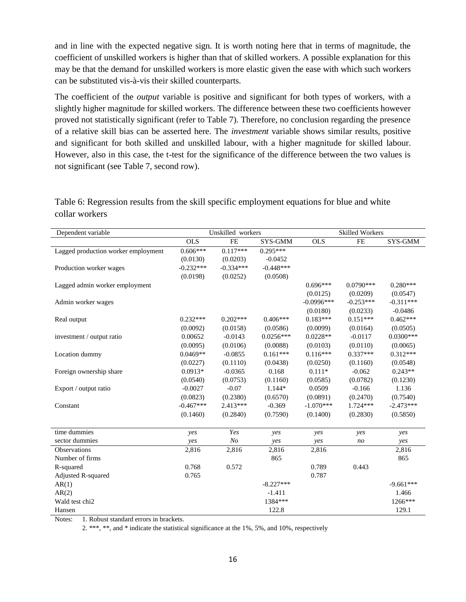and in line with the expected negative sign. It is worth noting here that in terms of magnitude, the coefficient of unskilled workers is higher than that of skilled workers. A possible explanation for this may be that the demand for unskilled workers is more elastic given the ease with which such workers can be substituted vis-à-vis their skilled counterparts.

The coefficient of the *output* variable is positive and significant for both types of workers, with a slightly higher magnitude for skilled workers. The difference between these two coefficients however proved not statistically significant (refer to Table 7). Therefore, no conclusion regarding the presence of a relative skill bias can be asserted here. The *investment* variable shows similar results, positive and significant for both skilled and unskilled labour, with a higher magnitude for skilled labour. However, also in this case, the t-test for the significance of the difference between the two values is not significant (see Table 7, second row).

Table 6: Regression results from the skill specific employment equations for blue and white collar workers

| Dependent variable                  | Unskilled workers |                |             | <b>Skilled Workers</b> |                |             |
|-------------------------------------|-------------------|----------------|-------------|------------------------|----------------|-------------|
|                                     | $\overline{OLS}$  | FE             | SYS-GMM     | $OLS$                  | FE             | SYS-GMM     |
| Lagged production worker employment | $0.606***$        | $0.117***$     | $0.295***$  |                        |                |             |
|                                     | (0.0130)          | (0.0203)       | $-0.0452$   |                        |                |             |
| Production worker wages             | $-0.232***$       | $-0.334***$    | $-0.448***$ |                        |                |             |
|                                     | (0.0198)          | (0.0252)       | (0.0508)    |                        |                |             |
| Lagged admin worker employment      |                   |                |             | $0.696***$             | $0.0790***$    | $0.280***$  |
|                                     |                   |                |             | (0.0125)               | (0.0209)       | (0.0547)    |
| Admin worker wages                  |                   |                |             | $-0.0996***$           | $-0.253***$    | $-0.311***$ |
|                                     |                   |                |             | (0.0180)               | (0.0233)       | $-0.0486$   |
| Real output                         | $0.232***$        | $0.202***$     | $0.406***$  | $0.183***$             | $0.151***$     | $0.462***$  |
|                                     | (0.0092)          | (0.0158)       | (0.0586)    | (0.0099)               | (0.0164)       | (0.0505)    |
| investment / output ratio           | 0.00652           | $-0.0143$      | $0.0256***$ | $0.0228**$             | $-0.0117$      | $0.0300***$ |
|                                     | (0.0095)          | (0.0106)       | (0.0088)    | (0.0103)               | (0.0110)       | (0.0065)    |
| Location dummy                      | $0.0469**$        | $-0.0855$      | $0.161***$  | $0.116***$             | $0.337***$     | $0.312***$  |
|                                     | (0.0227)          | (0.1110)       | (0.0438)    | (0.0250)               | (0.1160)       | (0.0548)    |
| Foreign ownership share             | $0.0913*$         | $-0.0365$      | 0.168       | $0.111*$               | $-0.062$       | $0.243**$   |
|                                     | (0.0540)          | (0.0753)       | (0.1160)    | (0.0585)               | (0.0782)       | (0.1230)    |
| Export / output ratio               | $-0.0027$         | $-0.07$        | 1.144*      | 0.0509                 | $-0.166$       | 1.136       |
|                                     | (0.0823)          | (0.2380)       | (0.6570)    | (0.0891)               | (0.2470)       | (0.7540)    |
| Constant                            | $-0.467***$       | $2.413***$     | $-0.369$    | $-1.070***$            | $1.724***$     | $-2.473***$ |
|                                     | (0.1460)          | (0.2840)       | (0.7590)    | (0.1400)               | (0.2830)       | (0.5850)    |
|                                     |                   |                |             |                        |                |             |
| time dummies                        | yes               | Yes            | yes         | yes                    | yes            | yes         |
| sector dummies                      | yes               | N <sub>o</sub> | yes         | yes                    | n <sub>o</sub> | yes         |
| <b>Observations</b>                 | 2,816             | 2,816          | 2,816       | 2,816                  |                | 2,816       |
| Number of firms                     |                   |                | 865         |                        |                | 865         |
| R-squared                           | 0.768             | 0.572          |             | 0.789                  | 0.443          |             |
| Adjusted R-squared                  | 0.765             |                |             | 0.787                  |                |             |
| AR(1)                               |                   |                | $-8.227***$ |                        |                | $-9.661***$ |
| AR(2)                               |                   |                | $-1.411$    |                        |                | 1.466       |
| Wald test chi2                      |                   |                | 1384***     |                        |                | 1266***     |
| Hansen                              |                   |                | 122.8       |                        |                | 129.1       |

Notes: 1. Robust standard errors in brackets.

2. \*\*\*, \*\*, and \* indicate the statistical significance at the 1%, 5%, and 10%, respectively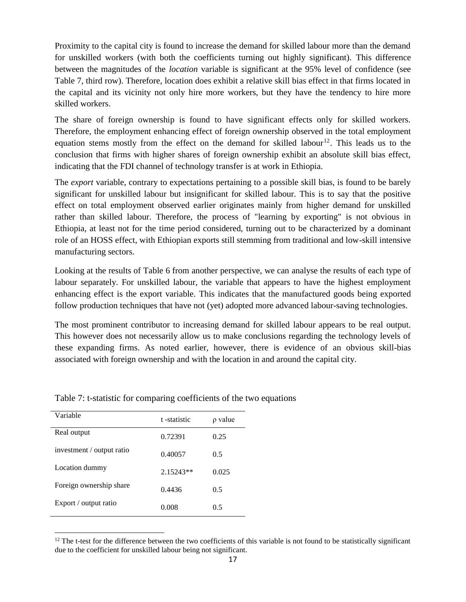Proximity to the capital city is found to increase the demand for skilled labour more than the demand for unskilled workers (with both the coefficients turning out highly significant). This difference between the magnitudes of the *location* variable is significant at the 95% level of confidence (see Table 7, third row). Therefore, location does exhibit a relative skill bias effect in that firms located in the capital and its vicinity not only hire more workers, but they have the tendency to hire more skilled workers.

The share of foreign ownership is found to have significant effects only for skilled workers. Therefore, the employment enhancing effect of foreign ownership observed in the total employment equation stems mostly from the effect on the demand for skilled labour<sup>12</sup>. This leads us to the conclusion that firms with higher shares of foreign ownership exhibit an absolute skill bias effect, indicating that the FDI channel of technology transfer is at work in Ethiopia.

The *export* variable, contrary to expectations pertaining to a possible skill bias, is found to be barely significant for unskilled labour but insignificant for skilled labour. This is to say that the positive effect on total employment observed earlier originates mainly from higher demand for unskilled rather than skilled labour. Therefore, the process of "learning by exporting" is not obvious in Ethiopia, at least not for the time period considered, turning out to be characterized by a dominant role of an HOSS effect, with Ethiopian exports still stemming from traditional and low-skill intensive manufacturing sectors.

Looking at the results of Table 6 from another perspective, we can analyse the results of each type of labour separately. For unskilled labour, the variable that appears to have the highest employment enhancing effect is the export variable. This indicates that the manufactured goods being exported follow production techniques that have not (yet) adopted more advanced labour-saving technologies.

The most prominent contributor to increasing demand for skilled labour appears to be real output. This however does not necessarily allow us to make conclusions regarding the technology levels of these expanding firms. As noted earlier, however, there is evidence of an obvious skill-bias associated with foreign ownership and with the location in and around the capital city.

| Variable                  | t-statistic | ρ value |
|---------------------------|-------------|---------|
| Real output               | 0.72391     | 0.25    |
| investment / output ratio | 0.40057     | 0.5     |
| Location dummy            | $2.15243**$ | 0.025   |
| Foreign ownership share   | 0.4436      | 0.5     |
| Export / output ratio     | 0.008       | 0.5     |

 $\overline{\phantom{a}}$ 

Table 7: t-statistic for comparing coefficients of the two equations

 $12$  The t-test for the difference between the two coefficients of this variable is not found to be statistically significant due to the coefficient for unskilled labour being not significant.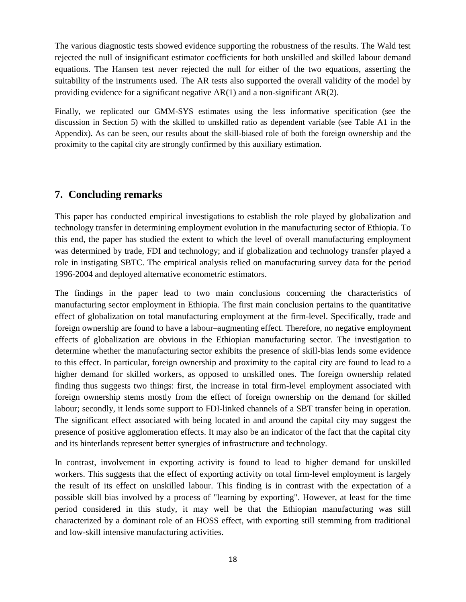The various diagnostic tests showed evidence supporting the robustness of the results. The Wald test rejected the null of insignificant estimator coefficients for both unskilled and skilled labour demand equations. The Hansen test never rejected the null for either of the two equations, asserting the suitability of the instruments used. The AR tests also supported the overall validity of the model by providing evidence for a significant negative AR(1) and a non-significant AR(2).

Finally, we replicated our GMM-SYS estimates using the less informative specification (see the discussion in Section 5) with the skilled to unskilled ratio as dependent variable (see Table A1 in the Appendix). As can be seen, our results about the skill-biased role of both the foreign ownership and the proximity to the capital city are strongly confirmed by this auxiliary estimation.

#### **7. Concluding remarks**

This paper has conducted empirical investigations to establish the role played by globalization and technology transfer in determining employment evolution in the manufacturing sector of Ethiopia. To this end, the paper has studied the extent to which the level of overall manufacturing employment was determined by trade, FDI and technology; and if globalization and technology transfer played a role in instigating SBTC. The empirical analysis relied on manufacturing survey data for the period 1996-2004 and deployed alternative econometric estimators.

The findings in the paper lead to two main conclusions concerning the characteristics of manufacturing sector employment in Ethiopia. The first main conclusion pertains to the quantitative effect of globalization on total manufacturing employment at the firm-level. Specifically, trade and foreign ownership are found to have a labour–augmenting effect. Therefore, no negative employment effects of globalization are obvious in the Ethiopian manufacturing sector. The investigation to determine whether the manufacturing sector exhibits the presence of skill-bias lends some evidence to this effect. In particular, foreign ownership and proximity to the capital city are found to lead to a higher demand for skilled workers, as opposed to unskilled ones. The foreign ownership related finding thus suggests two things: first, the increase in total firm-level employment associated with foreign ownership stems mostly from the effect of foreign ownership on the demand for skilled labour; secondly, it lends some support to FDI-linked channels of a SBT transfer being in operation. The significant effect associated with being located in and around the capital city may suggest the presence of positive agglomeration effects. It may also be an indicator of the fact that the capital city and its hinterlands represent better synergies of infrastructure and technology.

In contrast, involvement in exporting activity is found to lead to higher demand for unskilled workers. This suggests that the effect of exporting activity on total firm-level employment is largely the result of its effect on unskilled labour. This finding is in contrast with the expectation of a possible skill bias involved by a process of "learning by exporting". However, at least for the time period considered in this study, it may well be that the Ethiopian manufacturing was still characterized by a dominant role of an HOSS effect, with exporting still stemming from traditional and low-skill intensive manufacturing activities.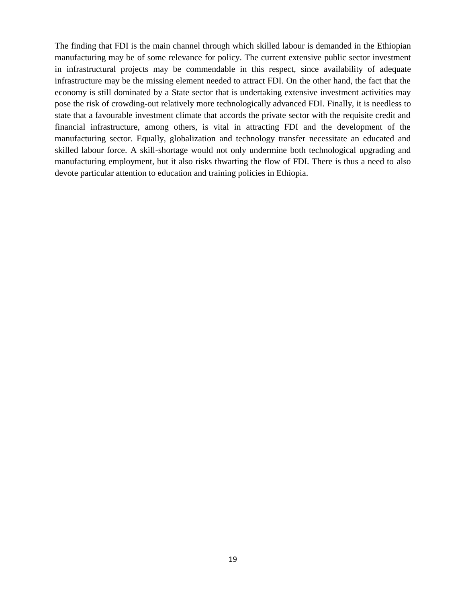The finding that FDI is the main channel through which skilled labour is demanded in the Ethiopian manufacturing may be of some relevance for policy. The current extensive public sector investment in infrastructural projects may be commendable in this respect, since availability of adequate infrastructure may be the missing element needed to attract FDI. On the other hand, the fact that the economy is still dominated by a State sector that is undertaking extensive investment activities may pose the risk of crowding-out relatively more technologically advanced FDI. Finally, it is needless to state that a favourable investment climate that accords the private sector with the requisite credit and financial infrastructure, among others, is vital in attracting FDI and the development of the manufacturing sector. Equally, globalization and technology transfer necessitate an educated and skilled labour force. A skill-shortage would not only undermine both technological upgrading and manufacturing employment, but it also risks thwarting the flow of FDI. There is thus a need to also devote particular attention to education and training policies in Ethiopia.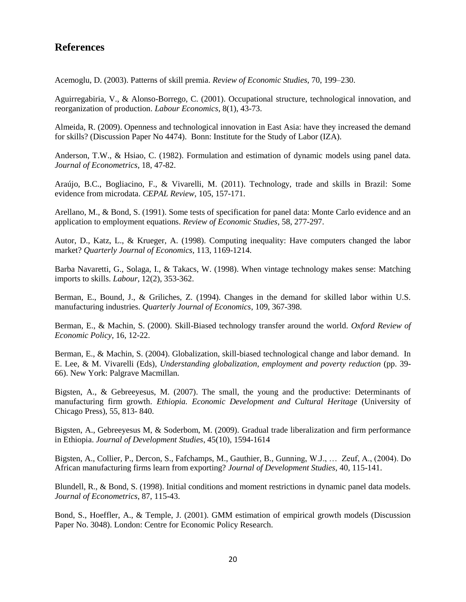### **References**

Acemoglu, D. (2003). Patterns of skill premia. *Review of Economic Studies*, 70, 199–230.

Aguirregabiria, V., & Alonso-Borrego, C. (2001). Occupational structure, technological innovation, and reorganization of production. *Labour Economics*, 8(1), 43-73.

Almeida, R. (2009). Openness and technological innovation in East Asia: have they increased the demand for skills? (Discussion Paper No 4474). Bonn: Institute for the Study of Labor (IZA).

Anderson, T.W., & Hsiao, C. (1982). Formulation and estimation of dynamic models using panel data. *Journal of Econometrics*, 18, 47-82.

Araújo, B.C., Bogliacino, F., & Vivarelli, M. (2011). Technology, trade and skills in Brazil: Some evidence from microdata. *CEPAL Review*, 105, 157-171.

Arellano, M., & Bond, S. (1991). Some tests of specification for panel data: Monte Carlo evidence and an application to employment equations. *Review of Economic Studies*, 58, 277-297.

Autor, D., Katz, L., & Krueger, A. (1998). Computing inequality: Have computers changed the labor market? *Quarterly Journal of Economics*, 113, 1169-1214.

Barba Navaretti, G., Solaga, I., & Takacs, W. (1998). When vintage technology makes sense: Matching imports to skills. *Labour,* 12(2), 353-362.

Berman, E., Bound, J., & Griliches, Z. (1994). Changes in the demand for skilled labor within U.S. manufacturing industries. *Quarterly Journal of Economics*, 109, 367-398.

Berman, E., & Machin, S. (2000). Skill-Biased technology transfer around the world. *Oxford Review of Economic Policy*, 16, 12-22.

Berman, E., & Machin, S. (2004). Globalization, skill-biased technological change and labor demand. In E. Lee, & M. Vivarelli (Eds), *Understanding globalization, employment and poverty reduction* (pp. 39- 66). New York: Palgrave Macmillan.

Bigsten, A., & Gebreeyesus, M. (2007). The small, the young and the productive: Determinants of manufacturing firm growth. *Ethiopia. Economic Development and Cultural Heritage* (University of Chicago Press), 55, 813- 840.

Bigsten, A., Gebreeyesus M, & Soderbom, M. (2009). Gradual trade liberalization and firm performance in Ethiopia. *Journal of Development Studies*, 45(10), 1594-1614

Bigsten, A., Collier, P., Dercon, S., Fafchamps, M., Gauthier, B., Gunning, W.J., … Zeuf, A., (2004). Do African manufacturing firms learn from exporting? *Journal of Development Studies*, 40, 115-141.

Blundell, R., & Bond, S. (1998). Initial conditions and moment restrictions in dynamic panel data models. *Journal of Econometrics*, 87, 115-43.

Bond, S., Hoeffler, A., & Temple, J. (2001). GMM estimation of empirical growth models (Discussion Paper No. 3048). London: Centre for Economic Policy Research.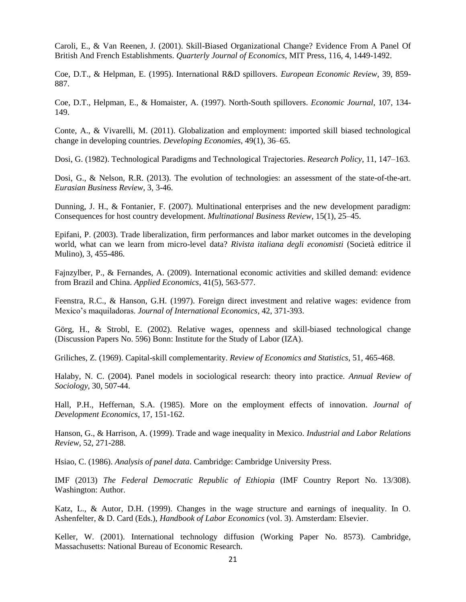Caroli, E., & Van Reenen, J. (2001). Skill-Biased Organizational Change? Evidence From A Panel Of British And French Establishments. *Quarterly Journal of Economics*, MIT Press, 116, 4, 1449-1492.

Coe, D.T., & Helpman, E. (1995). International R&D spillovers. *European Economic Review*, 39, 859- 887.

Coe, D.T., Helpman, E., & Homaister, A. (1997). North-South spillovers. *Economic Journal*, 107, 134- 149.

Conte, A., & Vivarelli, M. (2011). Globalization and employment: imported skill biased technological change in developing countries. *Developing Economies*, 49(1), 36–65.

Dosi, G. (1982). Technological Paradigms and Technological Trajectories. *Research Policy*, 11, 147–163.

Dosi, G., & Nelson, R.R. (2013). The evolution of technologies: an assessment of the state-of-the-art. *Eurasian Business Review*, 3, 3-46.

Dunning, J. H., & Fontanier, F. (2007). Multinational enterprises and the new development paradigm: Consequences for host country development. *Multinational Business Review*, 15(1), 25–45.

Epifani, P. (2003). Trade liberalization, firm performances and labor market outcomes in the developing world, what can we learn from micro-level data? *Rivista italiana degli economisti* (Società editrice il Mulino), 3, 455-486.

Fajnzylber, P., & Fernandes, A. (2009). International economic activities and skilled demand: evidence from Brazil and China. *Applied Economics*, 41(5), 563-577.

Feenstra, R.C., & Hanson, G.H. (1997). Foreign direct investment and relative wages: evidence from Mexico's maquiladoras. *Journal of International Economics*, 42, 371-393.

Görg, H., & Strobl, E. (2002). Relative wages, openness and skill-biased technological change (Discussion Papers No. 596) Bonn: Institute for the Study of Labor (IZA).

Griliches, Z. (1969). Capital-skill complementarity. *Review of Economics and Statistics*, 51, 465-468.

Halaby, N. C. (2004). Panel models in sociological research: theory into practice. *Annual Review of Sociology*, 30, 507-44.

Hall, P.H., Heffernan, S.A. (1985). More on the employment effects of innovation*. Journal of Development Economics*, 17, 151-162.

Hanson, G., & Harrison, A. (1999). Trade and wage inequality in Mexico. *Industrial and Labor Relations Review*, 52, 271-288.

Hsiao, C. (1986). *Analysis of panel data*. Cambridge: Cambridge University Press.

IMF (2013) *The Federal Democratic Republic of Ethiopia* (IMF Country Report No. 13/308). Washington: Author.

Katz, L., & Autor, D.H. (1999). Changes in the wage structure and earnings of inequality. In O. Ashenfelter, & D. Card (Eds.), *Handbook of Labor Economics* (vol. 3). Amsterdam: Elsevier.

Keller, W. (2001). International technology diffusion (Working Paper No. 8573). Cambridge, Massachusetts: National Bureau of Economic Research.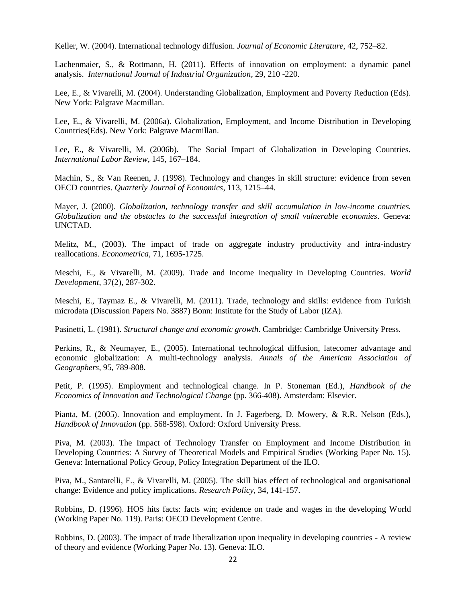Keller, W. (2004). International technology diffusion. *Journal of Economic Literature*, 42, 752–82.

Lachenmaier, S., & Rottmann, H. (2011). Effects of innovation on employment: a dynamic panel analysis. *International Journal of Industrial Organization*, 29, 210 -220.

Lee, E., & Vivarelli, M. (2004). Understanding Globalization, Employment and Poverty Reduction (Eds). New York: Palgrave Macmillan.

Lee, E., & Vivarelli, M. (2006a). Globalization, Employment, and Income Distribution in Developing Countries(Eds). New York: Palgrave Macmillan.

Lee, E., & Vivarelli, M. (2006b). The Social Impact of Globalization in Developing Countries. *International Labor Review*, 145, 167–184.

Machin, S., & Van Reenen, J. (1998). Technology and changes in skill structure: evidence from seven OECD countries. *Quarterly Journal of Economics*, 113, 1215–44.

Mayer, J. (2000). *Globalization, technology transfer and skill accumulation in low-income countries. Globalization and the obstacles to the successful integration of small vulnerable economies*. Geneva: UNCTAD.

Melitz, M., (2003). The impact of trade on aggregate industry productivity and intra-industry reallocations. *Econometrica,* 71, 1695-1725.

Meschi, E., & Vivarelli, M. (2009). Trade and Income Inequality in Developing Countries. *World Development*, 37(2), 287-302.

Meschi, E., Taymaz E., & Vivarelli, M. (2011). Trade, technology and skills: evidence from Turkish microdata (Discussion Papers No. 3887) Bonn: Institute for the Study of Labor (IZA).

Pasinetti, L. (1981). *Structural change and economic growth*. Cambridge: Cambridge University Press.

Perkins, R., & Neumayer, E., (2005). International technological diffusion, latecomer advantage and economic globalization: A multi-technology analysis. *Annals of the American Association of Geographers*, 95, 789-808.

Petit, P. (1995). Employment and technological change. In P. Stoneman (Ed.), *Handbook of the Economics of Innovation and Technological Change* (pp. 366-408). Amsterdam: Elsevier.

Pianta, M. (2005). Innovation and employment. In J. Fagerberg, D. Mowery, & R.R. Nelson (Eds.), *Handbook of Innovation* (pp. 568-598). Oxford: Oxford University Press.

Piva, M. (2003). The Impact of Technology Transfer on Employment and Income Distribution in Developing Countries: A Survey of Theoretical Models and Empirical Studies (Working Paper No. 15). Geneva: International Policy Group, Policy Integration Department of the ILO.

Piva, M., Santarelli, E., & Vivarelli, M. (2005). The skill bias effect of technological and organisational change: Evidence and policy implications. *Research Policy*, 34, 141-157.

Robbins, D. (1996). HOS hits facts: facts win; evidence on trade and wages in the developing World (Working Paper No. 119). Paris: OECD Development Centre.

Robbins, D. (2003). The impact of trade liberalization upon inequality in developing countries - A review of theory and evidence (Working Paper No. 13). Geneva: ILO.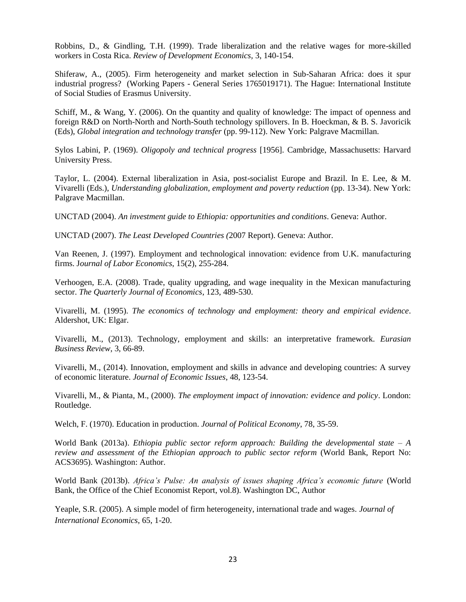Robbins, D., & Gindling, T.H. (1999). Trade liberalization and the relative wages for more-skilled workers in Costa Rica. *Review of Development Economics,* 3, 140-154.

Shiferaw, A., (2005). Firm heterogeneity and market selection in Sub-Saharan Africa: does it spur industrial progress? (Working Papers - General Series 1765019171). The Hague: International Institute of Social Studies of Erasmus University.

Schiff, M., & Wang, Y. (2006). On the quantity and quality of knowledge: The impact of openness and foreign R&D on North-North and North-South technology spillovers. In B. Hoeckman, & B. S. Javoricik (Eds), *Global integration and technology transfer* (pp. 99-112). New York: Palgrave Macmillan.

Sylos Labini, P. (1969). *Oligopoly and technical progress* [1956]. Cambridge, Massachusetts: Harvard University Press.

Taylor, L. (2004). External liberalization in Asia, post-socialist Europe and Brazil. In E. Lee, & M. Vivarelli (Eds.), *Understanding globalization, employment and poverty reduction* (pp. 13-34). New York: Palgrave Macmillan.

UNCTAD (2004). *An investment guide to Ethiopia: opportunities and conditions*. Geneva: Author.

UNCTAD (2007). *The Least Developed Countries (*2007 Report). Geneva: Author.

Van Reenen, J. (1997). Employment and technological innovation: evidence from U.K. manufacturing firms. J*ournal of Labor Economics*, 15(2), 255-284.

Verhoogen, E.A. (2008). Trade, quality upgrading, and wage inequality in the Mexican manufacturing sector. *The Quarterly Journal of Economics*, 123, 489-530.

Vivarelli, M. (1995). *The economics of technology and employment: theory and empirical evidence*. Aldershot, UK: Elgar.

Vivarelli, M., (2013). Technology, employment and skills: an interpretative framework. *Eurasian Business Review*, 3, 66-89.

Vivarelli, M., (2014). Innovation, employment and skills in advance and developing countries: A survey of economic literature. *Journal of Economic Issues*, 48, 123-54.

Vivarelli, M., & Pianta, M., (2000). *The employment impact of innovation: evidence and policy*. London: Routledge.

Welch, F. (1970). Education in production. *Journal of Political Economy*, 78, 35-59.

World Bank (2013a). *Ethiopia public sector reform approach: Building the developmental state – A review and assessment of the Ethiopian approach to public sector reform* (World Bank, Report No: ACS3695). Washington: Author.

World Bank (2013b). *Africa's Pulse: An analysis of issues shaping Africa's economic future* (World Bank, the Office of the Chief Economist Report, vol.8). Washington DC, Author

Yeaple, S.R. (2005). A simple model of firm heterogeneity, international trade and wages. *Journal of International Economics*, 65, 1-20.